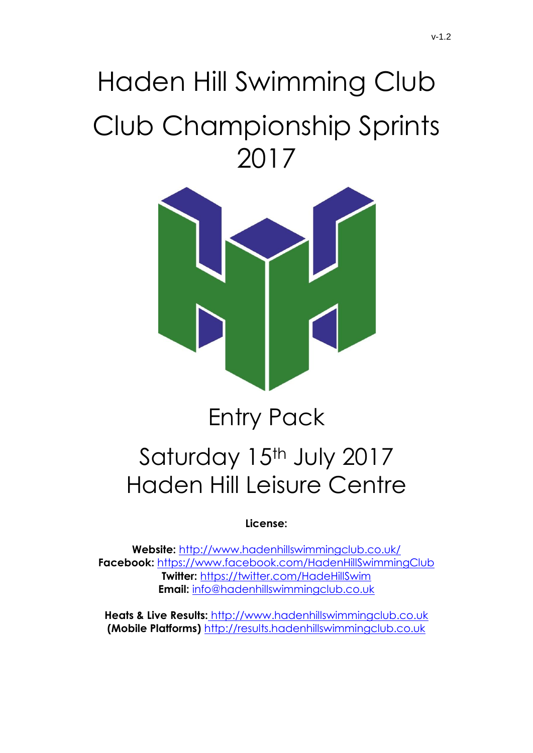# Haden Hill Swimming Club Club Championship Sprints 2017



## Entry Pack Saturday 15th July 2017 Haden Hill Leisure Centre

**License:** 

**Website:** <http://www.hadenhillswimmingclub.co.uk/> **Facebook:** <https://www.facebook.com/HadenHillSwimmingClub> **Twitter:** <https://twitter.com/HadeHillSwim> **Email:** [info@hadenhillswimmingclub.co.uk](mailto:info@hadenhillswimmingclub.co.uk)

**Heats & Live Results:** http://www.hadenhillswimmingclub.co.uk **(Mobile Platforms)** [http://results.hadenhillswimmingclub.co.uk](http://results.hadenhillswimmingclub.co.uk/)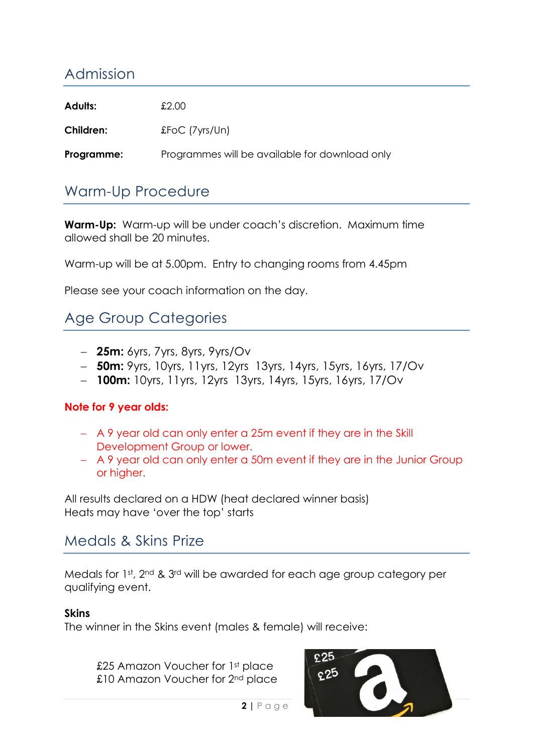## Admission

| <b>Adults:</b> | £2.00                                          |
|----------------|------------------------------------------------|
| Children:      | $£FOC$ ( $7yrs/Un$ )                           |
| Programme:     | Programmes will be available for download only |

## Warm-Up Procedure

**Warm-Up:** Warm-up will be under coach's discretion. Maximum time allowed shall be 20 minutes.

Warm-up will be at 5.00pm. Entry to changing rooms from 4.45pm

Please see your coach information on the day.

## Age Group Categories

- **25m:** 6yrs, 7yrs, 8yrs, 9yrs/Ov
- **50m:** 9yrs, 10yrs, 11yrs, 12yrs 13yrs, 14yrs, 15yrs, 16yrs, 17/Ov
- **100m:** 10yrs, 11yrs, 12yrs 13yrs, 14yrs, 15yrs, 16yrs, 17/Ov

#### **Note for 9 year olds:**

- A 9 year old can only enter a 25m event if they are in the Skill Development Group or lower.
- A 9 year old can only enter a 50m event if they are in the Junior Group or higher.

All results declared on a HDW (heat declared winner basis) Heats may have 'over the top' starts

### Medals & Skins Prize

Medals for 1st, 2nd & 3rd will be awarded for each age group category per qualifying event.

#### **Skins**

The winner in the Skins event (males & female) will receive:

£25 Amazon Voucher for 1st place £10 Amazon Voucher for 2<sup>nd</sup> place

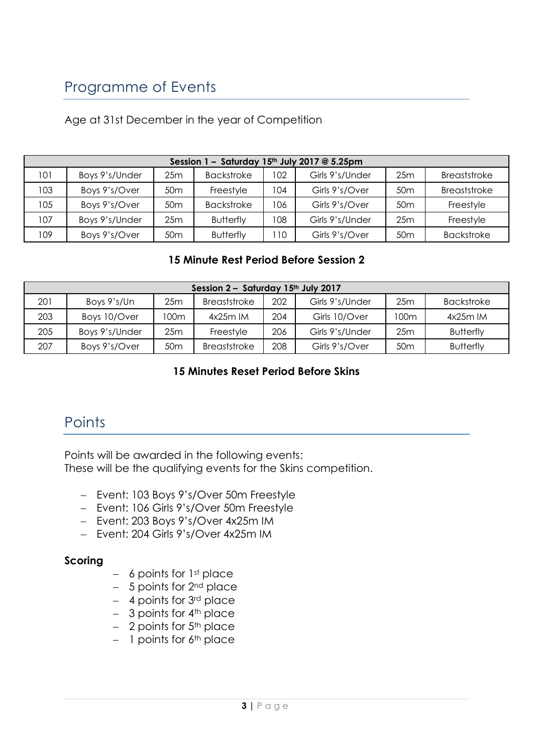## Programme of Events

| Session $1 -$ Saturday 15 <sup>th</sup> July 2017 @ 5.25pm |                |                 |                   |     |                 |                 |                   |  |  |
|------------------------------------------------------------|----------------|-----------------|-------------------|-----|-----------------|-----------------|-------------------|--|--|
| 101                                                        | Boys 9's/Under | 25m             | <b>Backstroke</b> | 102 | Girls 9's/Under | 25m             | Breaststroke      |  |  |
| 103                                                        | Boys 9's/Over  | 50 <sub>m</sub> | Freestyle         | 104 | Girls 9's/Over  | 50 <sub>m</sub> | Breaststroke      |  |  |
| 105                                                        | Boys 9's/Over  | 50 <sub>m</sub> | <b>Backstroke</b> | 106 | Girls 9's/Over  | 50 <sub>m</sub> | Freestyle         |  |  |
| 107                                                        | Boys 9's/Under | 25m             | <b>Butterfly</b>  | 108 | Girls 9's/Under | 25m             | Freestyle         |  |  |
| 109                                                        | Boys 9's/Over  | 50 <sub>m</sub> | <b>Butterfly</b>  | 10  | Girls 9's/Over  | 50 <sub>m</sub> | <b>Backstroke</b> |  |  |

#### **15 Minute Rest Period Before Session 2**

| Session 2 - Saturday 15th July 2017 |                |                 |              |     |                 |                 |                   |  |  |
|-------------------------------------|----------------|-----------------|--------------|-----|-----------------|-----------------|-------------------|--|--|
| 201                                 | Boys 9's/Un    | 25m             | Breaststroke | 202 | Girls 9's/Under | 25m             | <b>Backstroke</b> |  |  |
| 203                                 | Boys 10/Over   | 100m            | $4x25m$ IM   | 204 | Girls 10/Over   | 100m            | $4x25m$ IM        |  |  |
| 205                                 | Boys 9's/Under | 25m             | Freestyle    | 206 | Girls 9's/Under | 25m             | <b>Butterfly</b>  |  |  |
| 207                                 | Boys 9's/Over  | 50 <sub>m</sub> | Breaststroke | 208 | Girls 9's/Over  | 50 <sub>m</sub> | <b>Butterfly</b>  |  |  |

#### **15 Minutes Reset Period Before Skins**

## **Points**

Points will be awarded in the following events: These will be the qualifying events for the Skins competition.

- Event: 103 Boys 9's/Over 50m Freestyle
- Event: 106 Girls 9's/Over 50m Freestyle
- Event: 203 Boys 9's/Over 4x25m IM
- Fyent: 204 Girls 9's/Over 4x25m IM

#### **Scoring**

- $-$  6 points for 1st place
- $-$  5 points for  $2<sup>nd</sup>$  place
- $-$  4 points for 3<sup>rd</sup> place
- $-$  3 points for  $4<sup>th</sup>$  place
- $-$  2 points for  $5<sup>th</sup>$  place
- $-$  1 points for 6<sup>th</sup> place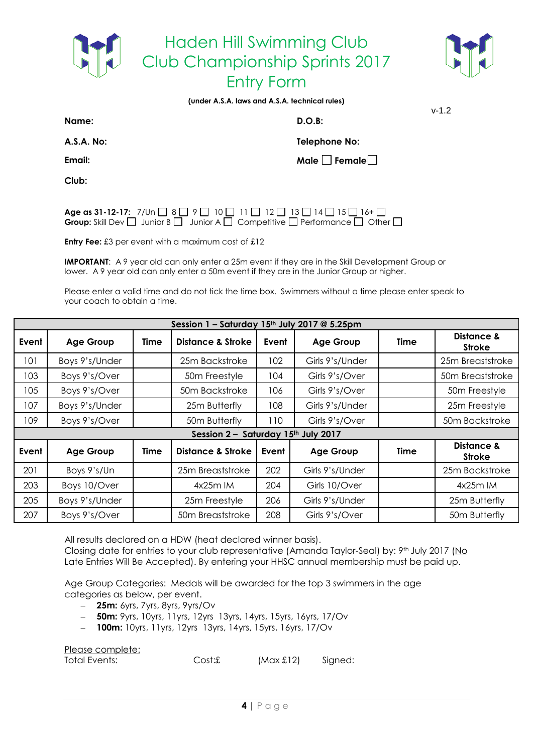



**(under A.S.A. laws and A.S.A. technical rules)**

**Name: D.O.B:** 

v-1.2

**A.S.A. No: Telephone No:**

**Email: Male** Female **Male** Female

**Club:**

**Age as 31-12-17:**  $7/Un \Box 8 \Box 9 \Box 10 \Box 11 \Box 12 \Box 13 \Box 14 \Box 15 \Box 16 + \Box$ **Group:** Skill Dev  $\Box$  Junior B  $\Box$  Junior A  $\Box$  Competitive  $\Box$  Performance  $\Box$  Other  $\Box$ 

**Entry Fee:** £3 per event with a maximum cost of £12

**IMPORTANT:** A 9 year old can only enter a 25m event if they are in the Skill Development Group or lower. A 9 year old can only enter a 50m event if they are in the Junior Group or higher.

Please enter a valid time and do not tick the time box. Swimmers without a time please enter speak to your coach to obtain a time.

|       | Session 1 - Saturday 15th July 2017 @ 5.25pm |      |                                     |       |                  |             |                             |  |  |  |
|-------|----------------------------------------------|------|-------------------------------------|-------|------------------|-------------|-----------------------------|--|--|--|
| Event | <b>Age Group</b>                             | Time | <b>Distance &amp; Stroke</b>        | Event | <b>Age Group</b> | <b>Time</b> | Distance &<br><b>Stroke</b> |  |  |  |
| 101   | Boys 9's/Under                               |      | 25m Backstroke                      | 102   | Girls 9's/Under  |             | 25m Breaststroke            |  |  |  |
| 103   | Boys 9's/Over                                |      | 50m Freestyle                       | 104   | Girls 9's/Over   |             | 50m Breaststroke            |  |  |  |
| 105   | Boys 9's/Over                                |      | 50m Backstroke                      | 106   | Girls 9's/Over   |             | 50m Freestyle               |  |  |  |
| 107   | Boys 9's/Under                               |      | 25m Butterfly                       | 108   | Girls 9's/Under  |             | 25m Freestyle               |  |  |  |
| 109   | Boys 9's/Over                                |      | 50m Butterfly                       | 110   | Girls 9's/Over   |             | 50m Backstroke              |  |  |  |
|       |                                              |      | Session 2 - Saturday 15th July 2017 |       |                  |             |                             |  |  |  |
| Event | <b>Age Group</b>                             | Time | <b>Distance &amp; Stroke</b>        | Event | <b>Age Group</b> | <b>Time</b> | Distance &<br><b>Stroke</b> |  |  |  |
| 201   | Boys 9's/Un                                  |      | 25m Breaststroke                    | 202   | Girls 9's/Under  |             | 25m Backstroke              |  |  |  |
| 203   | Boys 10/Over                                 |      | $4x25m$ IM                          | 204   | Girls 10/Over    |             | $4x25m$ IM                  |  |  |  |
| 205   | Boys 9's/Under                               |      | 25m Freestyle                       | 206   | Girls 9's/Under  |             | 25m Butterfly               |  |  |  |
| 207   | Boys 9's/Over                                |      | 50 <sub>m</sub> Breaststroke        | 208   | Girls 9's/Over   |             | 50m Butterfly               |  |  |  |

All results declared on a HDW (heat declared winner basis).

Closing date for entries to your club representative (Amanda Taylor-Seal) by: 9th July 2017 (No Late Entries Will Be Accepted). By entering your HHSC annual membership must be paid up.

Age Group Categories: Medals will be awarded for the top 3 swimmers in the age categories as below, per event.

- **25m:** 6yrs, 7yrs, 8yrs, 9yrs/Ov
- **50m:** 9yrs, 10yrs, 11yrs, 12yrs 13yrs, 14yrs, 15yrs, 16yrs, 17/Ov
- **100m:** 10yrs, 11yrs, 12yrs 13yrs, 14yrs, 15yrs, 16yrs, 17/Ov

Please complete: Total Events: Cost:£ (Max £12) Signed: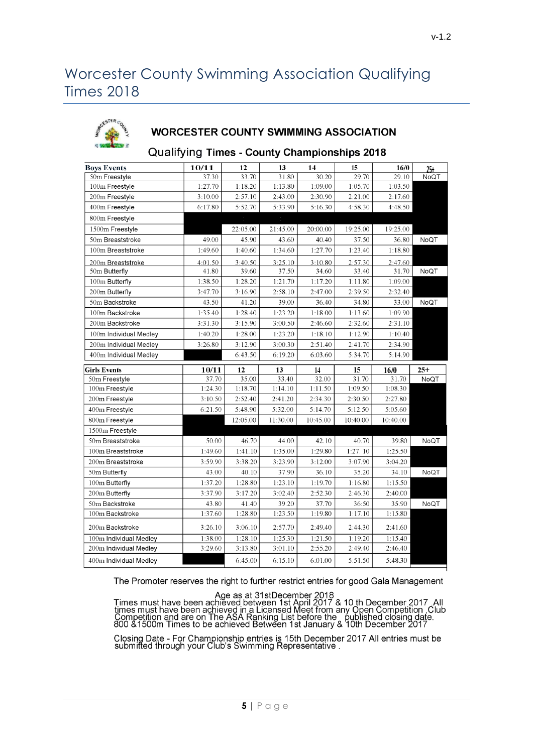## Worcester County Swimming Association Qualifying Times 2018



#### **WORCESTER COUNTY SWIMMING ASSOCIATION**

#### Qualifying Times - County Championships 2018

| <b>Boys Events</b>     | 10/11   | 12       | 13       | 14       | 15       | 16/0     | $25 +$ |
|------------------------|---------|----------|----------|----------|----------|----------|--------|
| 50m Freestyle          | 37.30   | 33.70    | 31.80    | 30.20    | 29.70    | 29.10    | NoQT   |
| 100m Freestyle         | 1:27.70 | 1:18.20  | 1:13.80  | 1:09.00  | 1:05.70  | 1:03.50  |        |
| 200m Freestyle         | 3:10.00 | 2:57.10  | 2:43.00  | 2:30.90  | 2:21.00  | 2:17.60  |        |
| 400m Freestyle         | 6:17.80 | 5:52.70  | 5:33.90  | 5:16.30  | 4:58.30  | 4:48.50  |        |
| 800m Freestyle         |         |          |          |          |          |          |        |
| 1500m Freestyle        |         | 22:05.00 | 21:45.00 | 20:00.00 | 19:25.00 | 19:25.00 |        |
| 50m Breaststroke       | 49.00   | 45.90    | 43.60    | 40.40    | 37.50    | 36.80    | NoQT   |
| 100m Breaststroke      | 1:49.60 | 1:40.60  | 1:34.60  | 1:27.70  | 1:23.40  | 1:18.80  |        |
| 200m Breaststroke      | 4:01.50 | 3:40.50  | 3:25.10  | 3:10.80  | 2:57.30  | 2:47.60  |        |
| 50m Butterfly          | 41.80   | 39.60    | 37.50    | 34.60    | 33.40    | 31.70    | NoQT   |
| 100m Butterfly         | 1:38.50 | 1:28.20  | 1:21.70  | 1:17.20  | 1:11.80  | 1:09.00  |        |
| 200m Butterfly         | 3:47.70 | 3:16.90  | 2:58.10  | 2:47.00  | 2:39.50  | 2:32.40  |        |
| 50m Backstroke         | 43.50   | 41.20    | 39.00    | 36.40    | 34.80    | 33.00    | NoQT   |
| 100m Backstroke        | 1:35.40 | 1:28.40  | 1:23.20  | 1:18.00  | 1:13.60  | 1:09.90  |        |
| 200m Backstroke        | 3:31.30 | 3:15.90  | 3:00.50  | 2:46.60  | 2:32.60  | 2:31.10  |        |
| 100m Individual Medley | 1:40.20 | 1:28.00  | 1:23.20  | 1:18.10  | 1:12.90  | 1:10.40  |        |
| 200m Individual Medley | 3:26.80 | 3:12.90  | 3:00.30  | 2:51.40  | 2:41.70  | 2:34.90  |        |
| 400m Individual Medley |         | 6:43.50  | 6:19.20  | 6:03.60  | 5:34.70  | 5:14.90  |        |
|                        |         |          |          |          |          |          |        |
| <b>Girls Events</b>    | 10/11   | 12       | 13       | 14       | 15       | 16/0     | $25+$  |
| 50m Freestyle          | 37.70   | 35.00    | 33.40    | 32.00    | 31.70    | 31.70    | NoQT   |
| 100m Freestyle         | 1:24.30 | 1:18.70  | 1:14.10  | 1:11.50  | 1:09.50  | 1:08.30  |        |
| 200m Freestyle         | 3:10.50 | 2:52.40  | 2:41.20  | 2:34.30  | 2:30.50  | 2:27.80  |        |
| 400m Freestyle         | 6:21.50 | 5:48.90  | 5:32.00  | 5:14.70  | 5:12.50  | 5:05.60  |        |
| 800m Freestyle         |         | 12:05.00 | 11:30.00 | 10:45.00 | 10:40.00 | 10:40.00 |        |
| 1500m Freestyle        |         |          |          |          |          |          |        |
| 50m Breaststroke       | 50.00   | 46.70    | 44.00    | 42.10    | 40.70    | 39.80    | NoQT   |
| 100m Breaststroke      | 1:49.60 | 1:41.10  | 1:35.00  | 1:29.80  | 1:27.10  | 1:25.50  |        |
| 200m Breaststroke      | 3:59.90 | 3:38.20  | 3:23.90  | 3:12.00  | 3:07.90  | 3:04.20  |        |
| 50m Butterfly          | 43.00   | 40.10    | 37.90    | 36.10    | 35.20    | 34.10    | NoQT   |
| 100m Butterfly         | 1:37.20 | 1:28.80  | 1:23.10  | 1:19.70  | 1:16.80  | 1:15.50  |        |
| 200m Butterfly         | 3:37.90 | 3:17.20  | 3:02.40  | 2:52.30  | 2:46.30  | 2:40.00  |        |
| 50m Backstroke         | 43.80   | 41.40    | 39.20    | 37.70    | 36:50    | 35.90    | NoQT   |
| 100m Backstroke        | 1:37.60 | 1:28.80  | 1:23.50  | 1:19.80  | 1:17.10  | 1:15.80  |        |
| 200m Backstroke        | 3:26.10 | 3:06.10  | 2:57.70  | 2:49.40  | 2:44.30  | 2:41.60  |        |
| 100m Individual Medley | 1:38.00 | 1:28.10  | 1:25.30  | 1:21.50  | 1:19.20  | 1:15.40  |        |
| 200m Individual Medley | 3:29.60 | 3:13.80  | 3:01.10  | 2:55.20  | 2:49.40  | 2:46.40  |        |

The Promoter reserves the right to further restrict entries for good Gala Management

Age as at 31stDecember 2018<br>Times must have been achieved between 1st April 2017 & 10 th December 2017 .All<br>times must have been achieved in a Licensed Meet from any Open Competition ,Club<br>Competition and are on The ASA Ra

Closing Date - For Championship entries is 15th December 2017 All entries must be submitted through your Club's Swimming Representative.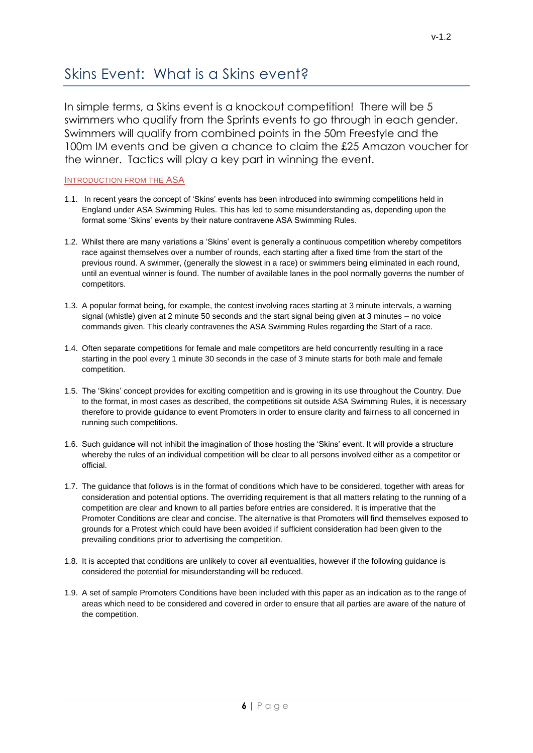## Skins Event: What is a Skins event?

In simple terms, a Skins event is a knockout competition! There will be 5 swimmers who qualify from the Sprints events to go through in each gender. Swimmers will qualify from combined points in the 50m Freestyle and the 100m IM events and be given a chance to claim the £25 Amazon voucher for the winner. Tactics will play a key part in winning the event.

#### INTRODUCTION FROM THE ASA

- 1.1. In recent years the concept of 'Skins' events has been introduced into swimming competitions held in England under ASA Swimming Rules. This has led to some misunderstanding as, depending upon the format some 'Skins' events by their nature contravene ASA Swimming Rules.
- 1.2. Whilst there are many variations a 'Skins' event is generally a continuous competition whereby competitors race against themselves over a number of rounds, each starting after a fixed time from the start of the previous round. A swimmer, (generally the slowest in a race) or swimmers being eliminated in each round, until an eventual winner is found. The number of available lanes in the pool normally governs the number of competitors.
- 1.3. A popular format being, for example, the contest involving races starting at 3 minute intervals, a warning signal (whistle) given at 2 minute 50 seconds and the start signal being given at 3 minutes – no voice commands given. This clearly contravenes the ASA Swimming Rules regarding the Start of a race.
- 1.4. Often separate competitions for female and male competitors are held concurrently resulting in a race starting in the pool every 1 minute 30 seconds in the case of 3 minute starts for both male and female competition.
- 1.5. The 'Skins' concept provides for exciting competition and is growing in its use throughout the Country. Due to the format, in most cases as described, the competitions sit outside ASA Swimming Rules, it is necessary therefore to provide guidance to event Promoters in order to ensure clarity and fairness to all concerned in running such competitions.
- 1.6. Such guidance will not inhibit the imagination of those hosting the 'Skins' event. It will provide a structure whereby the rules of an individual competition will be clear to all persons involved either as a competitor or official.
- 1.7. The guidance that follows is in the format of conditions which have to be considered, together with areas for consideration and potential options. The overriding requirement is that all matters relating to the running of a competition are clear and known to all parties before entries are considered. It is imperative that the Promoter Conditions are clear and concise. The alternative is that Promoters will find themselves exposed to grounds for a Protest which could have been avoided if sufficient consideration had been given to the prevailing conditions prior to advertising the competition.
- 1.8. It is accepted that conditions are unlikely to cover all eventualities, however if the following guidance is considered the potential for misunderstanding will be reduced.
- 1.9. A set of sample Promoters Conditions have been included with this paper as an indication as to the range of areas which need to be considered and covered in order to ensure that all parties are aware of the nature of the competition.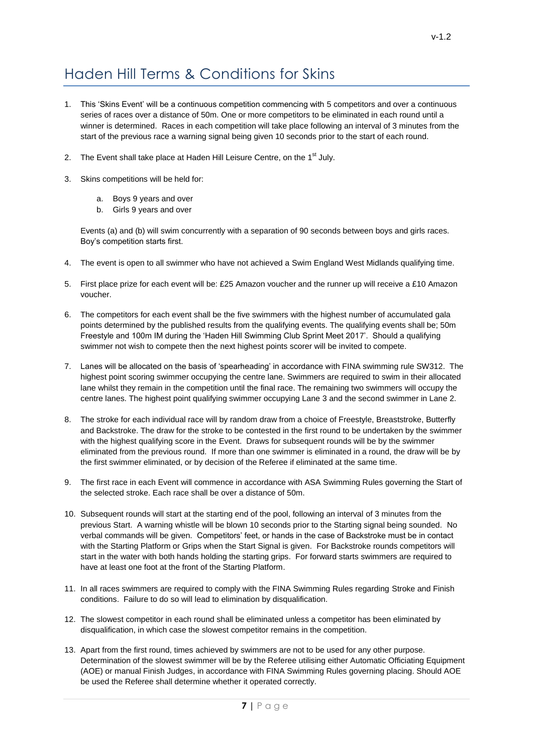## Haden Hill Terms & Conditions for Skins

- 1. This 'Skins Event' will be a continuous competition commencing with 5 competitors and over a continuous series of races over a distance of 50m. One or more competitors to be eliminated in each round until a winner is determined. Races in each competition will take place following an interval of 3 minutes from the start of the previous race a warning signal being given 10 seconds prior to the start of each round.
- 2. The Event shall take place at Haden Hill Leisure Centre, on the 1<sup>st</sup> July.
- 3. Skins competitions will be held for:
	- a. Boys 9 years and over
	- b. Girls 9 years and over

Events (a) and (b) will swim concurrently with a separation of 90 seconds between boys and girls races. Boy's competition starts first.

- 4. The event is open to all swimmer who have not achieved a Swim England West Midlands qualifying time.
- 5. First place prize for each event will be: £25 Amazon voucher and the runner up will receive a £10 Amazon voucher.
- 6. The competitors for each event shall be the five swimmers with the highest number of accumulated gala points determined by the published results from the qualifying events. The qualifying events shall be; 50m Freestyle and 100m IM during the 'Haden Hill Swimming Club Sprint Meet 2017'. Should a qualifying swimmer not wish to compete then the next highest points scorer will be invited to compete.
- 7. Lanes will be allocated on the basis of 'spearheading' in accordance with FINA swimming rule SW312. The highest point scoring swimmer occupying the centre lane. Swimmers are required to swim in their allocated lane whilst they remain in the competition until the final race. The remaining two swimmers will occupy the centre lanes. The highest point qualifying swimmer occupying Lane 3 and the second swimmer in Lane 2.
- 8. The stroke for each individual race will by random draw from a choice of Freestyle, Breaststroke, Butterfly and Backstroke. The draw for the stroke to be contested in the first round to be undertaken by the swimmer with the highest qualifying score in the Event. Draws for subsequent rounds will be by the swimmer eliminated from the previous round. If more than one swimmer is eliminated in a round, the draw will be by the first swimmer eliminated, or by decision of the Referee if eliminated at the same time.
- 9. The first race in each Event will commence in accordance with ASA Swimming Rules governing the Start of the selected stroke. Each race shall be over a distance of 50m.
- 10. Subsequent rounds will start at the starting end of the pool, following an interval of 3 minutes from the previous Start. A warning whistle will be blown 10 seconds prior to the Starting signal being sounded. No verbal commands will be given. Competitors' feet, or hands in the case of Backstroke must be in contact with the Starting Platform or Grips when the Start Signal is given. For Backstroke rounds competitors will start in the water with both hands holding the starting grips. For forward starts swimmers are required to have at least one foot at the front of the Starting Platform.
- 11. In all races swimmers are required to comply with the FINA Swimming Rules regarding Stroke and Finish conditions. Failure to do so will lead to elimination by disqualification.
- 12. The slowest competitor in each round shall be eliminated unless a competitor has been eliminated by disqualification, in which case the slowest competitor remains in the competition.
- 13. Apart from the first round, times achieved by swimmers are not to be used for any other purpose. Determination of the slowest swimmer will be by the Referee utilising either Automatic Officiating Equipment (AOE) or manual Finish Judges, in accordance with FINA Swimming Rules governing placing. Should AOE be used the Referee shall determine whether it operated correctly.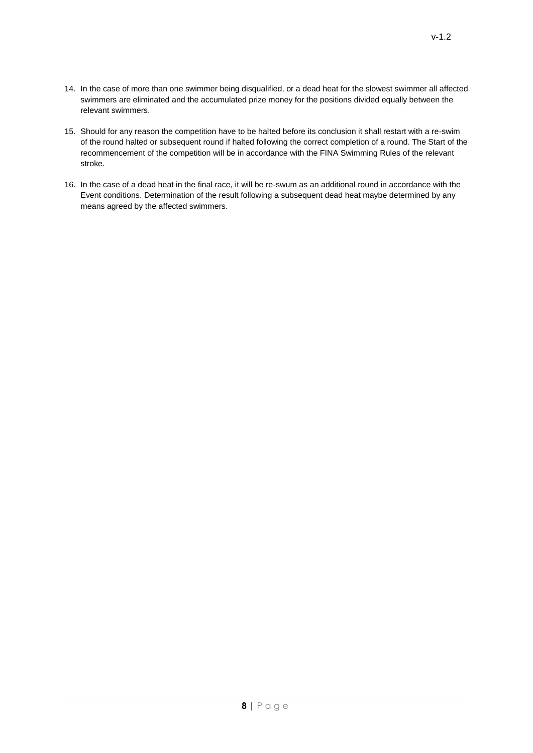- 14. In the case of more than one swimmer being disqualified, or a dead heat for the slowest swimmer all affected swimmers are eliminated and the accumulated prize money for the positions divided equally between the relevant swimmers.
- 15. Should for any reason the competition have to be halted before its conclusion it shall restart with a re-swim of the round halted or subsequent round if halted following the correct completion of a round. The Start of the recommencement of the competition will be in accordance with the FINA Swimming Rules of the relevant stroke.
- 16. In the case of a dead heat in the final race, it will be re-swum as an additional round in accordance with the Event conditions. Determination of the result following a subsequent dead heat maybe determined by any means agreed by the affected swimmers.